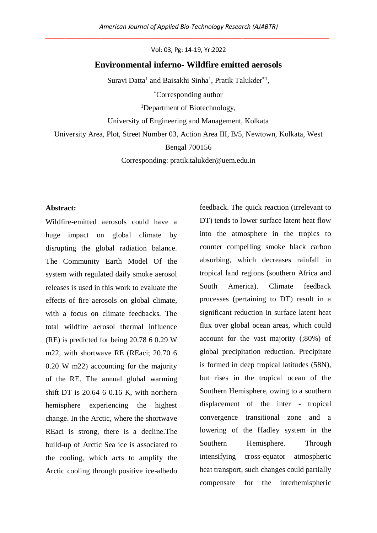Vol: 03, Pg: 14-19, Yr:2022

# **Environmental inferno- Wildfire emitted aerosols**

Suravi Datta<sup>1</sup> and Baisakhi Sinha<sup>1</sup>, Pratik Talukder<sup>\*1</sup>,

\*Corresponding author

<sup>1</sup>Department of Biotechnology,

University of Engineering and Management, Kolkata

University Area, Plot, Street Number 03, Action Area III, B/5, Newtown, Kolkata, West

#### Bengal 700156

Corresponding: pratik.talukder@uem.edu.in

## **Abstract:**

Wildfire-emitted aerosols could have a huge impact on global climate by disrupting the global radiation balance. The Community Earth Model Of the system with regulated daily smoke aerosol releases is used in this work to evaluate the effects of fire aerosols on global climate, with a focus on climate feedbacks. The total wildfire aerosol thermal influence (RE) is predicted for being 20.78 6 0.29 W m22, with shortwave RE (REaci; 20.70 6 0.20 W m22) accounting for the majority of the RE. The annual global warming shift DT is 20.64 6 0.16 K, with northern hemisphere experiencing the highest change. In the Arctic, where the shortwave REaci is strong, there is a decline.The build-up of Arctic Sea ice is associated to the cooling, which acts to amplify the Arctic cooling through positive ice-albedo feedback. The quick reaction (irrelevant to DT) tends to lower surface latent heat flow into the atmosphere in the tropics to counter compelling smoke black carbon absorbing, which decreases rainfall in tropical land regions (southern Africa and South America). Climate feedback processes (pertaining to DT) result in a significant reduction in surface latent heat flux over global ocean areas, which could account for the vast majority (;80%) of global precipitation reduction. Precipitate is formed in deep tropical latitudes (58N), but rises in the tropical ocean of the Southern Hemisphere, owing to a southern displacement of the inter - tropical convergence transitional zone and a lowering of the Hadley system in the Southern Hemisphere. Through intensifying cross-equator atmospheric heat transport, such changes could partially compensate for the interhemispheric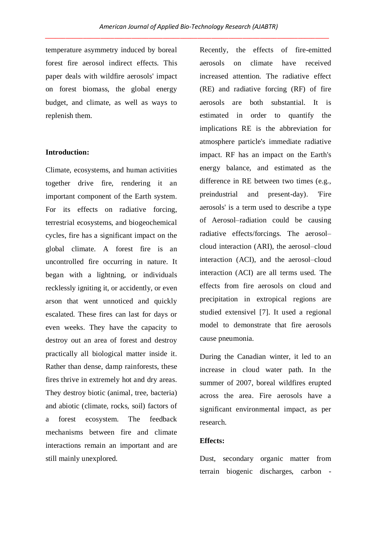temperature asymmetry induced by boreal forest fire aerosol indirect effects. This paper deals with wildfire aerosols' impact on forest biomass, the global energy budget, and climate, as well as ways to replenish them.

#### **Introduction:**

Climate, ecosystems, and human activities together drive fire, rendering it an important component of the Earth system. For its effects on radiative forcing, terrestrial ecosystems, and biogeochemical cycles, fire has a significant impact on the global climate. A forest fire is an uncontrolled fire occurring in nature. It began with a lightning, or individuals recklessly igniting it, or accidently, or even arson that went unnoticed and quickly escalated. These fires can last for days or even weeks. They have the capacity to destroy out an area of forest and destroy practically all biological matter inside it. Rather than dense, damp rainforests, these fires thrive in extremely hot and dry areas. They destroy biotic (animal, tree, bacteria) and abiotic (climate, rocks, soil) factors of a forest ecosystem. The feedback mechanisms between fire and climate interactions remain an important and are still mainly unexplored.

Recently, the effects of fire-emitted aerosols on climate have received increased attention. The radiative effect (RE) and radiative forcing (RF) of fire aerosols are both substantial. It is estimated in order to quantify the implications RE is the abbreviation for atmosphere particle's immediate radiative impact. RF has an impact on the Earth's energy balance, and estimated as the difference in RE between two times (e.g., preindustrial and present-day). 'Fire aerosols' is a term used to describe a type of Aerosol–radiation could be causing radiative effects/forcings. The aerosol– cloud interaction (ARI), the aerosol–cloud interaction (ACI), and the aerosol–cloud interaction (ACI) are all terms used. The effects from fire aerosols on cloud and precipitation in extropical regions are studied extensivel [7]. It used a regional model to demonstrate that fire aerosols cause pneumonia.

During the Canadian winter, it led to an increase in cloud water path. In the summer of 2007, boreal wildfires erupted across the area. Fire aerosols have a significant environmental impact, as per research.

## **Effects:**

Dust, secondary organic matter from terrain biogenic discharges, carbon -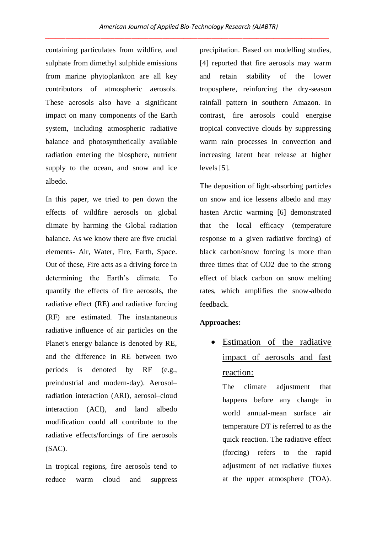containing particulates from wildfire, and sulphate from dimethyl sulphide emissions from marine phytoplankton are all key contributors of atmospheric aerosols. These aerosols also have a significant impact on many components of the Earth system, including atmospheric radiative balance and photosynthetically available radiation entering the biosphere, nutrient supply to the ocean, and snow and ice albedo.

In this paper, we tried to pen down the effects of wildfire aerosols on global climate by harming the Global radiation balance. As we know there are five crucial elements- Air, Water, Fire, Earth, Space. Out of these, Fire acts as a driving force in determining the Earth's climate. To quantify the effects of fire aerosols, the radiative effect (RE) and radiative forcing (RF) are estimated. The instantaneous radiative influence of air particles on the Planet's energy balance is denoted by RE, and the difference in RE between two periods is denoted by RF (e.g., preindustrial and modern-day). Aerosol– radiation interaction (ARI), aerosol–cloud interaction (ACI), and land albedo modification could all contribute to the radiative effects/forcings of fire aerosols (SAC).

In tropical regions, fire aerosols tend to reduce warm cloud and suppress precipitation. Based on modelling studies, [4] reported that fire aerosols may warm and retain stability of the lower troposphere, reinforcing the dry-season rainfall pattern in southern Amazon. In contrast, fire aerosols could energise tropical convective clouds by suppressing warm rain processes in convection and increasing latent heat release at higher levels [5].

The deposition of light-absorbing particles on snow and ice lessens albedo and may hasten Arctic warming [6] demonstrated that the local efficacy (temperature response to a given radiative forcing) of black carbon/snow forcing is more than three times that of CO2 due to the strong effect of black carbon on snow melting rates, which amplifies the snow-albedo feedback.

#### **Approaches:**

• Estimation of the radiative impact of aerosols and fast reaction:

The climate adjustment that happens before any change in world annual-mean surface air temperature DT is referred to as the quick reaction. The radiative effect (forcing) refers to the rapid adjustment of net radiative fluxes at the upper atmosphere (TOA).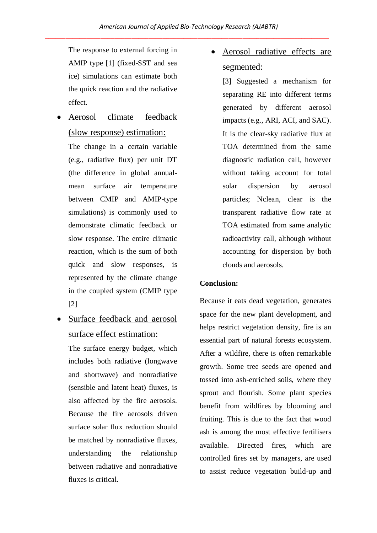The response to external forcing in AMIP type [1] (fixed-SST and sea ice) simulations can estimate both the quick reaction and the radiative effect.

 Aerosol climate feedback (slow response) estimation:

The change in a certain variable (e.g., radiative flux) per unit DT (the difference in global annualmean surface air temperature between CMIP and AMIP-type simulations) is commonly used to demonstrate climatic feedback or slow response. The entire climatic reaction, which is the sum of both quick and slow responses, is represented by the climate change in the coupled system (CMIP type [2]

 Surface feedback and aerosol surface effect estimation:

The surface energy budget, which includes both radiative (longwave and shortwave) and nonradiative (sensible and latent heat) fluxes, is also affected by the fire aerosols. Because the fire aerosols driven surface solar flux reduction should be matched by nonradiative fluxes, understanding the relationship between radiative and nonradiative fluxes is critical.

 Aerosol radiative effects are segmented:

[3] Suggested a mechanism for separating RE into different terms generated by different aerosol impacts (e.g., ARI, ACI, and SAC). It is the clear-sky radiative flux at TOA determined from the same diagnostic radiation call, however without taking account for total solar dispersion by aerosol particles; Nclean, clear is the transparent radiative flow rate at TOA estimated from same analytic radioactivity call, although without accounting for dispersion by both clouds and aerosols.

# **Conclusion:**

Because it eats dead vegetation, generates space for the new plant development, and helps restrict vegetation density, fire is an essential part of natural forests ecosystem. After a wildfire, there is often remarkable growth. Some tree seeds are opened and tossed into ash-enriched soils, where they sprout and flourish. Some plant species benefit from wildfires by blooming and fruiting. This is due to the fact that wood ash is among the most effective fertilisers available. Directed fires, which are controlled fires set by managers, are used to assist reduce vegetation build-up and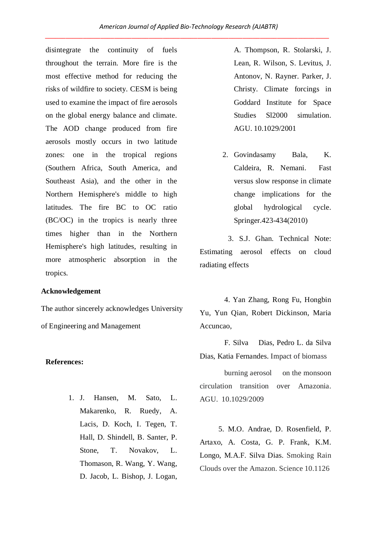disintegrate the continuity of fuels throughout the terrain. More fire is the most effective method for reducing the risks of wildfire to society. CESM is being used to examine the impact of fire aerosols on the global energy balance and climate. The AOD change produced from fire aerosols mostly occurs in two latitude zones: one in the tropical regions (Southern Africa, South America, and Southeast Asia), and the other in the Northern Hemisphere's middle to high latitudes. The fire BC to OC ratio (BC/OC) in the tropics is nearly three times higher than in the Northern Hemisphere's high latitudes, resulting in more atmospheric absorption in the tropics.

### **Acknowledgement**

The author sincerely acknowledges University of Engineering and Management

#### **References:**

1. J. Hansen, M. Sato, L. Makarenko, R. Ruedy, A. Lacis, D. Koch, I. Tegen, T. Hall, D. Shindell, B. Santer, P. Stone, T. Novakov, L. Thomason, R. Wang, Y. Wang, D. Jacob, L. Bishop, J. Logan, A. Thompson, R. Stolarski, J. Lean, R. Wilson, S. Levitus, J. Antonov, N. Rayner. Parker, J. Christy. Climate forcings in Goddard Institute for Space Studies Sl2000 simulation. AGU. 10.1029/2001

2. Govindasamy Bala, K. Caldeira, R. Nemani. Fast versus slow response in climate change implications for the global hydrological cycle. Springer.423-434(2010)

 3. S.J. Ghan. Technical Note: Estimating aerosol effects on cloud radiating effects

 4. Yan Zhang, Rong Fu, Hongbin Yu, Yun Qian, Robert Dickinson, Maria Accuncao,

 F. Silva Dias, Pedro L. da Silva Dias, Katia Fernandes. Impact of biomass

 burning aerosol on the monsoon circulation transition over Amazonia. AGU. 10.1029/2009

 5. M.O. Andrae, D. Rosenfield, P. Artaxo, A. Costa, G. P. Frank, K.M. Longo, M.A.F. Silva Dias. Smoking Rain Clouds over the Amazon. Science 10.1126